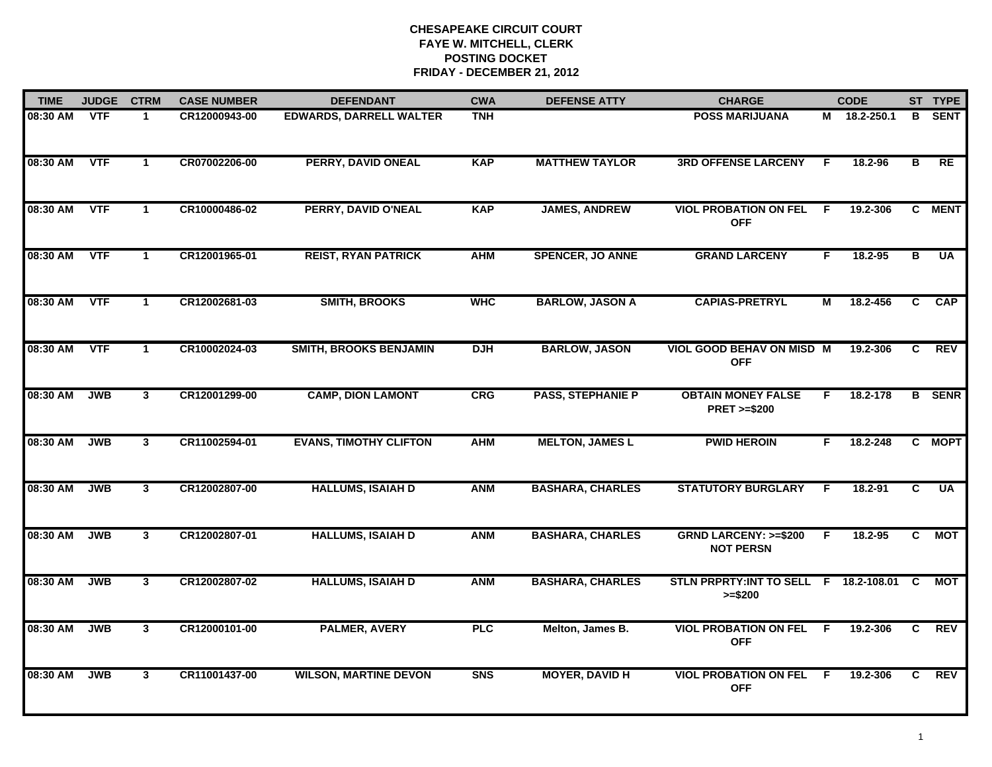| <b>TIME</b> | <b>JUDGE</b> | <b>CTRM</b>  | <b>CASE NUMBER</b> | <b>DEFENDANT</b>               | <b>CWA</b> | <b>DEFENSE ATTY</b>      | <b>CHARGE</b>                                         |                | <b>CODE</b>  |                | ST TYPE       |
|-------------|--------------|--------------|--------------------|--------------------------------|------------|--------------------------|-------------------------------------------------------|----------------|--------------|----------------|---------------|
| 08:30 AM    | VTF          | -1           | CR12000943-00      | <b>EDWARDS, DARRELL WALTER</b> | <b>TNH</b> |                          | <b>POSS MARIJUANA</b>                                 |                | M 18.2-250.1 | B.             | <b>SENT</b>   |
| 08:30 AM    | <b>VTF</b>   | $\mathbf{1}$ | CR07002206-00      | <b>PERRY, DAVID ONEAL</b>      | <b>KAP</b> | <b>MATTHEW TAYLOR</b>    | <b>3RD OFFENSE LARCENY</b>                            | F.             | 18.2-96      | в              | RE            |
| 08:30 AM    | <b>VTF</b>   | $\mathbf{1}$ | CR10000486-02      | PERRY, DAVID O'NEAL            | <b>KAP</b> | <b>JAMES, ANDREW</b>     | <b>VIOL PROBATION ON FEL</b><br><b>OFF</b>            | -F             | 19.2-306     |                | C MENT        |
| 08:30 AM    | <b>VTF</b>   | $\mathbf 1$  | CR12001965-01      | <b>REIST, RYAN PATRICK</b>     | <b>AHM</b> | <b>SPENCER, JO ANNE</b>  | <b>GRAND LARCENY</b>                                  | F.             | 18.2-95      | В              | UA            |
| 08:30 AM    | <b>VTF</b>   | $\mathbf{1}$ | CR12002681-03      | <b>SMITH, BROOKS</b>           | <b>WHC</b> | <b>BARLOW, JASON A</b>   | <b>CAPIAS-PRETRYL</b>                                 | м              | 18.2-456     | C.             | <b>CAP</b>    |
| 08:30 AM    | <b>VTF</b>   | $\mathbf 1$  | CR10002024-03      | <b>SMITH, BROOKS BENJAMIN</b>  | <b>DJH</b> | <b>BARLOW, JASON</b>     | <b>VIOL GOOD BEHAV ON MISD M</b><br><b>OFF</b>        |                | 19.2-306     | C.             | <b>REV</b>    |
| 08:30 AM    | <b>JWB</b>   | 3            | CR12001299-00      | <b>CAMP, DION LAMONT</b>       | CRG        | <b>PASS, STEPHANIE P</b> | <b>OBTAIN MONEY FALSE</b><br><b>PRET &gt;=\$200</b>   | F              | 18.2-178     |                | <b>B</b> SENR |
| 08:30 AM    | <b>JWB</b>   | $\mathbf{3}$ | CR11002594-01      | <b>EVANS, TIMOTHY CLIFTON</b>  | <b>AHM</b> | <b>MELTON, JAMES L</b>   | <b>PWID HEROIN</b>                                    | F              | 18.2-248     |                | C MOPT        |
| 08:30 AM    | <b>JWB</b>   | $\mathbf{3}$ | CR12002807-00      | <b>HALLUMS, ISAIAH D</b>       | <b>ANM</b> | <b>BASHARA, CHARLES</b>  | <b>STATUTORY BURGLARY</b>                             | F              | 18.2-91      | C              | <b>UA</b>     |
| 08:30 AM    | <b>JWB</b>   | $\mathbf{3}$ | CR12002807-01      | <b>HALLUMS, ISAIAH D</b>       | <b>ANM</b> | <b>BASHARA, CHARLES</b>  | <b>GRND LARCENY: &gt;=\$200</b><br><b>NOT PERSN</b>   | F.             | 18.2-95      | C              | <b>MOT</b>    |
| 08:30 AM    | <b>JWB</b>   | $3^{\circ}$  | CR12002807-02      | <b>HALLUMS, ISAIAH D</b>       | <b>ANM</b> | <b>BASHARA, CHARLES</b>  | STLN PRPRTY: INT TO SELL F 18.2-108.01 C<br>$>= $200$ |                |              |                | МОТ           |
| 08:30 AM    | <b>JWB</b>   | 3            | CR12000101-00      | <b>PALMER, AVERY</b>           | <b>PLC</b> | Melton, James B.         | <b>VIOL PROBATION ON FEL</b><br><b>OFF</b>            | $\overline{F}$ | 19.2-306     | $\overline{c}$ | REV           |
| 08:30 AM    | <b>JWB</b>   | $\mathbf{3}$ | CR11001437-00      | <b>WILSON, MARTINE DEVON</b>   | <b>SNS</b> | <b>MOYER, DAVID H</b>    | <b>VIOL PROBATION ON FEL</b><br><b>OFF</b>            | -F             | 19.2-306     | C.             | REV           |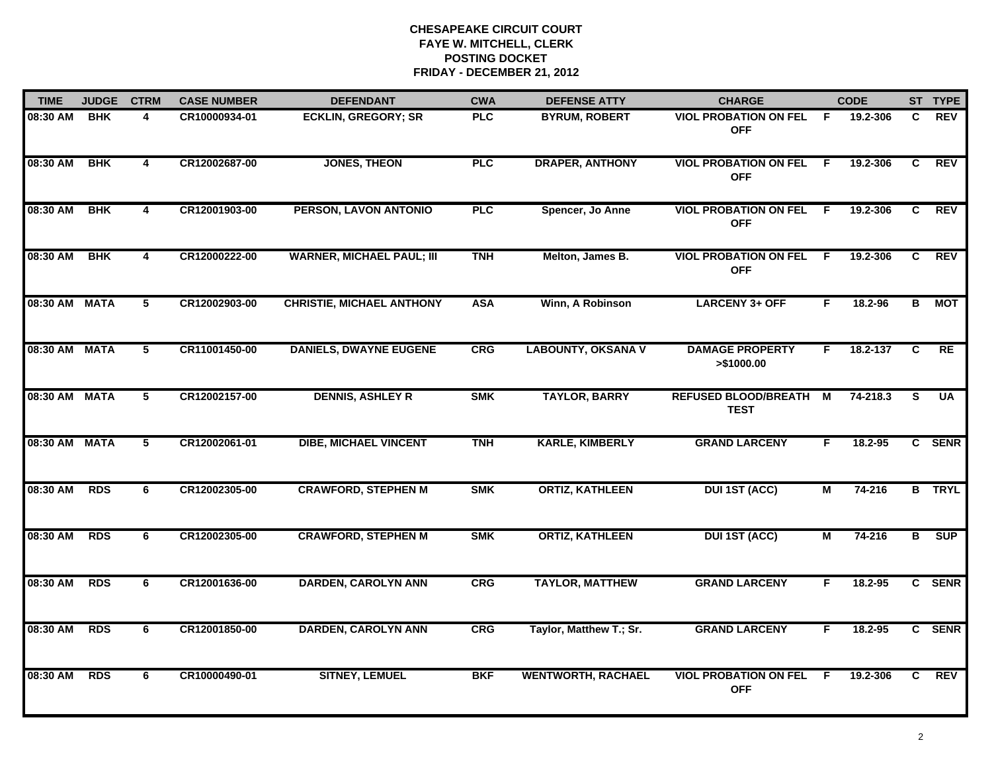| <b>TIME</b>   | <b>JUDGE</b> | <b>CTRM</b>             | <b>CASE NUMBER</b> | <b>DEFENDANT</b>                 | <b>CWA</b> | <b>DEFENSE ATTY</b>       | <b>CHARGE</b>                              |                | <b>CODE</b> |                | ST TYPE       |
|---------------|--------------|-------------------------|--------------------|----------------------------------|------------|---------------------------|--------------------------------------------|----------------|-------------|----------------|---------------|
| 08:30 AM      | <b>BHK</b>   | 4                       | CR10000934-01      | <b>ECKLIN, GREGORY; SR</b>       | <b>PLC</b> | <b>BYRUM, ROBERT</b>      | <b>VIOL PROBATION ON FEL</b><br><b>OFF</b> | -F             | 19.2-306    | C.             | <b>REV</b>    |
| 08:30 AM      | <b>BHK</b>   | $\overline{\mathbf{4}}$ | CR12002687-00      | <b>JONES, THEON</b>              | <b>PLC</b> | <b>DRAPER, ANTHONY</b>    | <b>VIOL PROBATION ON FEL</b><br><b>OFF</b> | - F            | 19.2-306    | C.             | <b>REV</b>    |
| 08:30 AM      | <b>BHK</b>   | $\overline{\mathbf{4}}$ | CR12001903-00      | PERSON, LAVON ANTONIO            | PLC        | Spencer, Jo Anne          | <b>VIOL PROBATION ON FEL</b><br><b>OFF</b> | $\overline{F}$ | 19.2-306    | $\overline{c}$ | <b>REV</b>    |
| 08:30 AM      | <b>BHK</b>   | 4                       | CR12000222-00      | <b>WARNER, MICHAEL PAUL; III</b> | <b>TNH</b> | Melton, James B.          | <b>VIOL PROBATION ON FEL</b><br><b>OFF</b> | -F             | 19.2-306    | C.             | <b>REV</b>    |
| 08:30 AM MATA |              | 5                       | CR12002903-00      | <b>CHRISTIE, MICHAEL ANTHONY</b> | <b>ASA</b> | Winn, A Robinson          | <b>LARCENY 3+ OFF</b>                      | F.             | 18.2-96     | B              | MOT           |
| 08:30 AM MATA |              | 5                       | CR11001450-00      | <b>DANIELS, DWAYNE EUGENE</b>    | <b>CRG</b> | <b>LABOUNTY, OKSANA V</b> | <b>DAMAGE PROPERTY</b><br>>\$1000.00       | F.             | 18.2-137    | C              | RE            |
| 08:30 AM      | <b>MATA</b>  | $\overline{5}$          | CR12002157-00      | <b>DENNIS, ASHLEY R</b>          | <b>SMK</b> | <b>TAYLOR, BARRY</b>      | REFUSED BLOOD/BREATH M<br><b>TEST</b>      |                | 74-218.3    | S.             | <b>UA</b>     |
| 08:30 AM      | <b>MATA</b>  | 5                       | CR12002061-01      | <b>DIBE, MICHAEL VINCENT</b>     | <b>TNH</b> | <b>KARLE, KIMBERLY</b>    | <b>GRAND LARCENY</b>                       | F              | 18.2-95     |                | C SENR        |
| 08:30 AM      | <b>RDS</b>   | 6                       | CR12002305-00      | <b>CRAWFORD, STEPHEN M</b>       | <b>SMK</b> | <b>ORTIZ, KATHLEEN</b>    | <b>DUI 1ST (ACC)</b>                       | М              | $74 - 216$  |                | <b>B</b> TRYL |
| 08:30 AM      | <b>RDS</b>   | 6                       | CR12002305-00      | <b>CRAWFORD, STEPHEN M</b>       | <b>SMK</b> | <b>ORTIZ, KATHLEEN</b>    | <b>DUI 1ST (ACC)</b>                       | M              | $74 - 216$  | в              | <b>SUP</b>    |
| 08:30 AM      | <b>RDS</b>   | 6                       | CR12001636-00      | <b>DARDEN, CAROLYN ANN</b>       | <b>CRG</b> | <b>TAYLOR, MATTHEW</b>    | <b>GRAND LARCENY</b>                       | F.             | 18.2-95     |                | C SENR        |
| 08:30 AM      | <b>RDS</b>   | 6                       | CR12001850-00      | <b>DARDEN, CAROLYN ANN</b>       | <b>CRG</b> | Taylor, Matthew T.; Sr.   | <b>GRAND LARCENY</b>                       | F.             | 18.2-95     |                | C SENR        |
| 08:30 AM      | <b>RDS</b>   | 6                       | CR10000490-01      | <b>SITNEY, LEMUEL</b>            | <b>BKF</b> | <b>WENTWORTH, RACHAEL</b> | <b>VIOL PROBATION ON FEL</b><br><b>OFF</b> | -F             | 19.2-306    | C.             | REV           |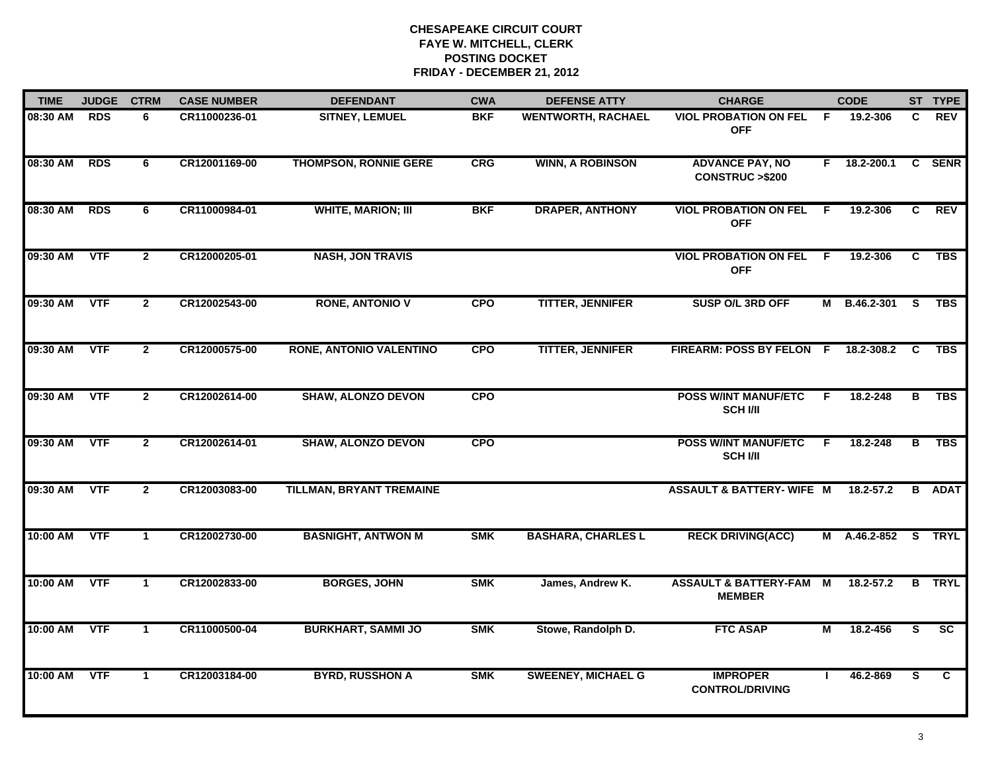| <b>TIME</b> | <b>JUDGE</b> | <b>CTRM</b>    | <b>CASE NUMBER</b> | <b>DEFENDANT</b>                | <b>CWA</b> | <b>DEFENSE ATTY</b>       | <b>CHARGE</b>                                       |     | <b>CODE</b>    |              | ST TYPE       |
|-------------|--------------|----------------|--------------------|---------------------------------|------------|---------------------------|-----------------------------------------------------|-----|----------------|--------------|---------------|
| 08:30 AM    | <b>RDS</b>   | 6              | CR11000236-01      | <b>SITNEY, LEMUEL</b>           | <b>BKF</b> | <b>WENTWORTH, RACHAEL</b> | <b>VIOL PROBATION ON FEL</b><br><b>OFF</b>          | - F | 19.2-306       | C            | <b>REV</b>    |
| 08:30 AM    | <b>RDS</b>   | 6              | CR12001169-00      | <b>THOMPSON, RONNIE GERE</b>    | <b>CRG</b> | <b>WINN, A ROBINSON</b>   | <b>ADVANCE PAY, NO</b><br><b>CONSTRUC &gt;\$200</b> | F.  | $18.2 - 200.1$ | $\mathbf{c}$ | <b>SENR</b>   |
| 08:30 AM    | <b>RDS</b>   | 6              | CR11000984-01      | <b>WHITE, MARION; III</b>       | <b>BKF</b> | <b>DRAPER, ANTHONY</b>    | <b>VIOL PROBATION ON FEL</b><br><b>OFF</b>          | -F  | 19.2-306       | C            | <b>REV</b>    |
| 09:30 AM    | <b>VTF</b>   | $\mathbf{2}$   | CR12000205-01      | <b>NASH, JON TRAVIS</b>         |            |                           | <b>VIOL PROBATION ON FEL F</b><br><b>OFF</b>        |     | 19.2-306       | C            | <b>TBS</b>    |
| 09:30 AM    | <b>VTF</b>   | 2 <sup>1</sup> | CR12002543-00      | <b>RONE, ANTONIO V</b>          | <b>CPO</b> | <b>TITTER, JENNIFER</b>   | SUSP O/L 3RD OFF                                    | М   | B.46.2-301     | S            | <b>TBS</b>    |
| 09:30 AM    | <b>VTF</b>   | $\mathbf{2}$   | CR12000575-00      | <b>RONE, ANTONIO VALENTINO</b>  | <b>CPO</b> | <b>TITTER, JENNIFER</b>   | FIREARM: POSS BY FELON F                            |     | 18.2-308.2     | C            | <b>TBS</b>    |
| 09:30 AM    | <b>VTF</b>   | $\overline{2}$ | CR12002614-00      | <b>SHAW, ALONZO DEVON</b>       | <b>CPO</b> |                           | <b>POSS W/INT MANUF/ETC</b><br><b>SCH I/II</b>      | F.  | 18.2-248       | в            | <b>TBS</b>    |
| 09:30 AM    | <b>VTF</b>   | $\mathbf{2}$   | CR12002614-01      | <b>SHAW, ALONZO DEVON</b>       | <b>CPO</b> |                           | <b>POSS W/INT MANUF/ETC</b><br><b>SCH VII</b>       | F.  | 18.2-248       | в            | <b>TBS</b>    |
| 09:30 AM    | <b>VTF</b>   | $\overline{2}$ | CR12003083-00      | <b>TILLMAN, BRYANT TREMAINE</b> |            |                           | <b>ASSAULT &amp; BATTERY- WIFE M</b>                |     | 18.2-57.2      |              | <b>B</b> ADAT |
| 10:00 AM    | <b>VTF</b>   | $\mathbf{1}$   | CR12002730-00      | <b>BASNIGHT, ANTWON M</b>       | <b>SMK</b> | <b>BASHARA, CHARLES L</b> | <b>RECK DRIVING(ACC)</b>                            | M   | A.46.2-852     |              | S TRYL        |
| 10:00 AM    | <b>VTF</b>   | $\mathbf 1$    | CR12002833-00      | <b>BORGES, JOHN</b>             | <b>SMK</b> | James, Andrew K.          | <b>ASSAULT &amp; BATTERY-FAM</b><br><b>MEMBER</b>   | M   | $18.2 - 57.2$  |              | <b>B</b> TRYL |
| 10:00 AM    | <b>VTF</b>   | $\mathbf{1}$   | CR11000500-04      | <b>BURKHART, SAMMI JO</b>       | <b>SMK</b> | Stowe, Randolph D.        | <b>FTC ASAP</b>                                     | м   | 18.2-456       | S            | <b>SC</b>     |
| 10:00 AM    | <b>VTF</b>   | $\mathbf 1$    | CR12003184-00      | <b>BYRD, RUSSHON A</b>          | <b>SMK</b> | <b>SWEENEY, MICHAEL G</b> | <b>IMPROPER</b><br><b>CONTROL/DRIVING</b>           |     | 46.2-869       | S.           | C.            |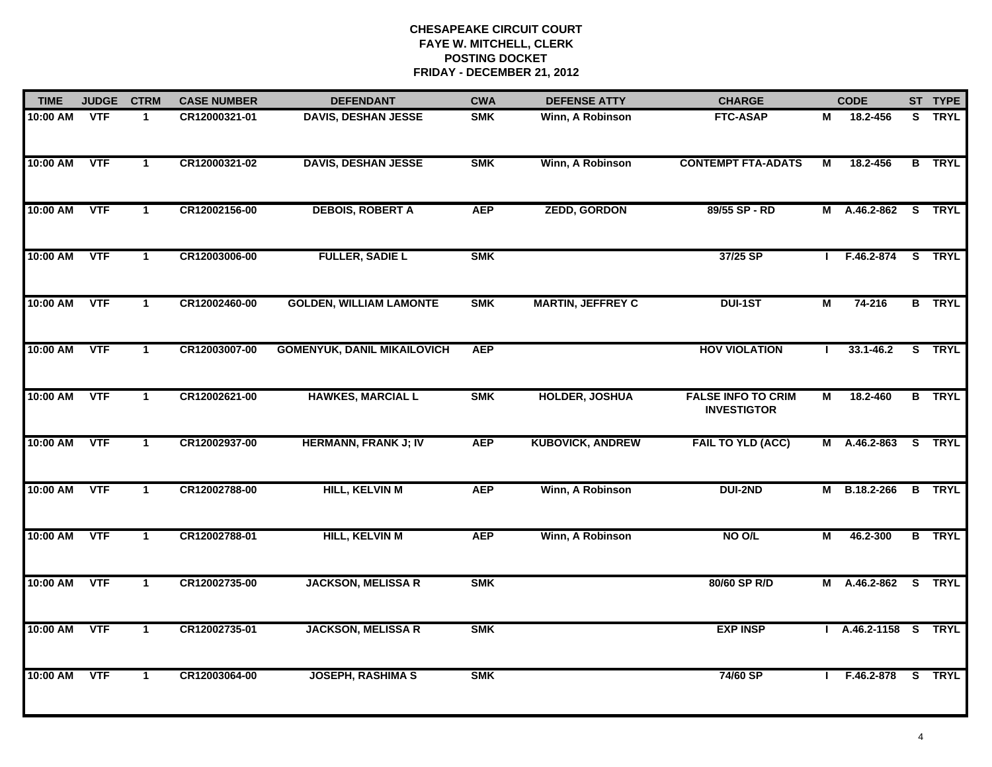| <b>TIME</b> | <b>JUDGE</b> | <b>CTRM</b>          | <b>CASE NUMBER</b> | <b>DEFENDANT</b>                   | <b>CWA</b> | <b>DEFENSE ATTY</b>      | <b>CHARGE</b>                                   |                | <b>CODE</b>         |   | ST TYPE       |
|-------------|--------------|----------------------|--------------------|------------------------------------|------------|--------------------------|-------------------------------------------------|----------------|---------------------|---|---------------|
| 10:00 AM    | <b>VTF</b>   | $\blacktriangleleft$ | CR12000321-01      | <b>DAVIS, DESHAN JESSE</b>         | <b>SMK</b> | Winn, A Robinson         | <b>FTC-ASAP</b>                                 | М              | 18.2-456            |   | S TRYL        |
| 10:00 AM    | <b>VTF</b>   | $\mathbf{1}$         | CR12000321-02      | <b>DAVIS, DESHAN JESSE</b>         | <b>SMK</b> | Winn, A Robinson         | <b>CONTEMPT FTA-ADATS</b>                       | М              | 18.2-456            |   | <b>B</b> TRYL |
| 10:00 AM    | <b>VTF</b>   | $\mathbf{1}$         | CR12002156-00      | <b>DEBOIS, ROBERT A</b>            | <b>AEP</b> | <b>ZEDD, GORDON</b>      | 89/55 SP - RD                                   | M              | A.46.2-862          |   | S TRYL        |
| 10:00 AM    | <b>VTF</b>   | $\mathbf{1}$         | CR12003006-00      | <b>FULLER, SADIE L</b>             | <b>SMK</b> |                          | 37/25 SP                                        | J.             | F.46.2-874          |   | S TRYL        |
| 10:00 AM    | <b>VTF</b>   | $\blacktriangleleft$ | CR12002460-00      | <b>GOLDEN, WILLIAM LAMONTE</b>     | <b>SMK</b> | <b>MARTIN, JEFFREY C</b> | <b>DUI-1ST</b>                                  | M              | 74-216              |   | <b>B</b> TRYL |
| 10:00 AM    | <b>VTF</b>   | $\mathbf{1}$         | CR12003007-00      | <b>GOMENYUK, DANIL MIKAILOVICH</b> | <b>AEP</b> |                          | <b>HOV VIOLATION</b>                            | $\mathbf{I}$   | $33.1 - 46.2$       |   | S TRYL        |
| 10:00 AM    | <b>VTF</b>   | $\mathbf{1}$         | CR12002621-00      | <b>HAWKES, MARCIAL L</b>           | <b>SMK</b> | HOLDER, JOSHUA           | <b>FALSE INFO TO CRIM</b><br><b>INVESTIGTOR</b> | М              | 18.2-460            | B | <b>TRYL</b>   |
| 10:00 AM    | <b>VTF</b>   | $\mathbf{1}$         | CR12002937-00      | <b>HERMANN, FRANK J; IV</b>        | <b>AEP</b> | <b>KUBOVICK, ANDREW</b>  | <b>FAIL TO YLD (ACC)</b>                        | M              | A.46.2-863          |   | S TRYL        |
| 10:00 AM    | <b>VTF</b>   | $\blacktriangleleft$ | CR12002788-00      | <b>HILL, KELVIN M</b>              | <b>AEP</b> | Winn, A Robinson         | <b>DUI-2ND</b>                                  | М              | B.18.2-266          |   | <b>B</b> TRYL |
| 10:00 AM    | <b>VTF</b>   | $\mathbf{1}$         | CR12002788-01      | <b>HILL, KELVIN M</b>              | <b>AEP</b> | Winn, A Robinson         | NO O/L                                          | $\blacksquare$ | 46.2-300            |   | <b>B</b> TRYL |
| 10:00 AM    | <b>VTF</b>   | $\mathbf 1$          | CR12002735-00      | <b>JACKSON, MELISSA R</b>          | <b>SMK</b> |                          | 80/60 SP R/D                                    |                | M A.46.2-862 S TRYL |   |               |
| 10:00 AM    | <b>VTF</b>   | $\mathbf{1}$         | CR12002735-01      | <b>JACKSON, MELISSA R</b>          | <b>SMK</b> |                          | <b>EXP INSP</b>                                 |                | A.46.2-1158 S TRYL  |   |               |
| 10:00 AM    | <b>VTF</b>   | $\mathbf{1}$         | CR12003064-00      | <b>JOSEPH, RASHIMA S</b>           | <b>SMK</b> |                          | 74/60 SP                                        | $\mathbf{L}$   | F.46.2-878 S TRYL   |   |               |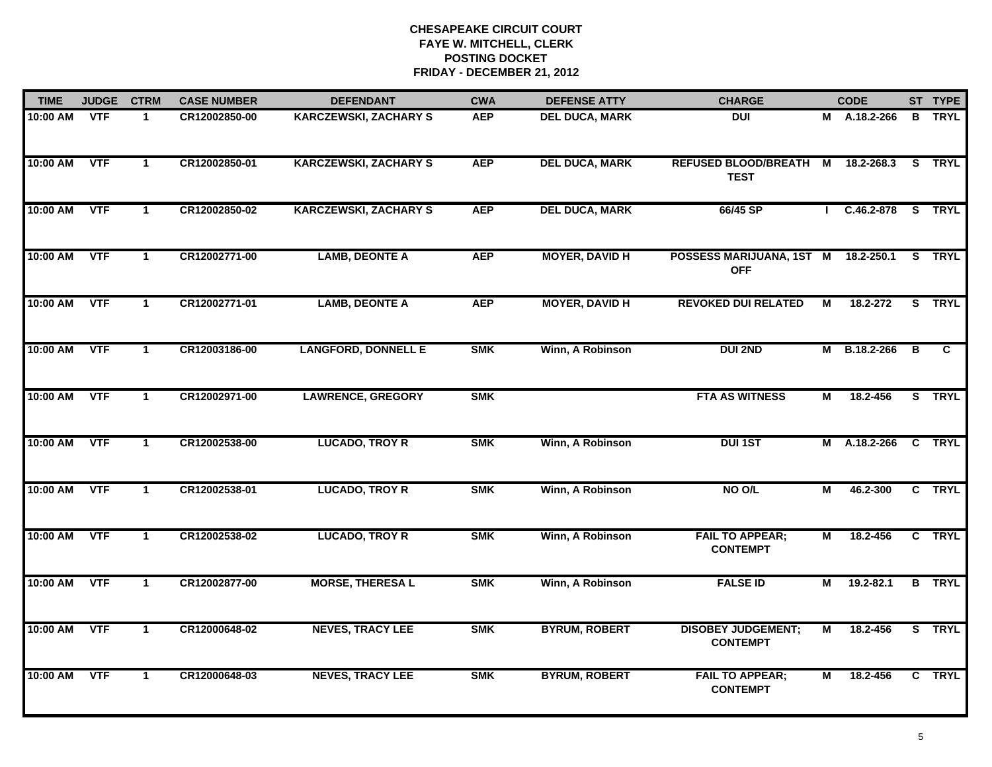| <b>TIME</b> | <b>JUDGE</b> | <b>CTRM</b>          | <b>CASE NUMBER</b> | <b>DEFENDANT</b>             | <b>CWA</b> | <b>DEFENSE ATTY</b>   | <b>CHARGE</b>                                     |                | <b>CODE</b>    |   | ST TYPE       |
|-------------|--------------|----------------------|--------------------|------------------------------|------------|-----------------------|---------------------------------------------------|----------------|----------------|---|---------------|
| 10:00 AM    | <b>VTF</b>   | $\mathbf{1}$         | CR12002850-00      | <b>KARCZEWSKI, ZACHARY S</b> | <b>AEP</b> | <b>DEL DUCA, MARK</b> | <b>DUI</b>                                        |                | $M$ A.18.2-266 | B | <b>TRYL</b>   |
| 10:00 AM    | <b>VTF</b>   | $\blacktriangleleft$ | CR12002850-01      | <b>KARCZEWSKI, ZACHARY S</b> | <b>AEP</b> | <b>DEL DUCA, MARK</b> | REFUSED BLOOD/BREATH M<br><b>TEST</b>             |                | 18.2-268.3     |   | S TRYL        |
| 10:00 AM    | <b>VTF</b>   | $\mathbf{1}$         | CR12002850-02      | <b>KARCZEWSKI, ZACHARY S</b> | <b>AEP</b> | <b>DEL DUCA, MARK</b> | 66/45 SP                                          |                | $C.46.2 - 878$ |   | S TRYL        |
| 10:00 AM    | <b>VTF</b>   | 1                    | CR12002771-00      | <b>LAMB, DEONTE A</b>        | <b>AEP</b> | <b>MOYER, DAVID H</b> | POSSESS MARIJUANA, 1ST M 18.2-250.1<br><b>OFF</b> |                |                |   | S TRYL        |
| 10:00 AM    | <b>VTF</b>   | $\mathbf{1}$         | CR12002771-01      | <b>LAMB, DEONTE A</b>        | <b>AEP</b> | <b>MOYER, DAVID H</b> | <b>REVOKED DUI RELATED</b>                        | M              | 18.2-272       |   | S TRYL        |
| 10:00 AM    | <b>VTF</b>   | $\mathbf{1}$         | CR12003186-00      | <b>LANGFORD, DONNELL E</b>   | <b>SMK</b> | Winn, A Robinson      | <b>DUI 2ND</b>                                    |                | M B.18.2-266   | В | C             |
| 10:00 AM    | <b>VTF</b>   | $\mathbf{1}$         | CR12002971-00      | <b>LAWRENCE, GREGORY</b>     | <b>SMK</b> |                       | <b>FTA AS WITNESS</b>                             | М              | 18.2-456       |   | S TRYL        |
| 10:00 AM    | <b>VTF</b>   | $\overline{1}$       | CR12002538-00      | <b>LUCADO, TROY R</b>        | <b>SMK</b> | Winn, A Robinson      | <b>DUI 1ST</b>                                    |                | M A.18.2-266   |   | C TRYL        |
| 10:00 AM    | <b>VTF</b>   | $\blacktriangleleft$ | CR12002538-01      | <b>LUCADO, TROY R</b>        | <b>SMK</b> | Winn, A Robinson      | NO O/L                                            | М              | 46.2-300       |   | C TRYL        |
| 10:00 AM    | <b>VTF</b>   | $\mathbf{1}$         | CR12002538-02      | <b>LUCADO, TROY R</b>        | <b>SMK</b> | Winn, A Robinson      | <b>FAIL TO APPEAR;</b><br><b>CONTEMPT</b>         | $\blacksquare$ | 18.2-456       |   | C TRYL        |
| 10:00 AM    | <b>VTF</b>   | $\mathbf{1}$         | CR12002877-00      | <b>MORSE, THERESA L</b>      | <b>SMK</b> | Winn, A Robinson      | <b>FALSE ID</b>                                   | M              | $19.2 - 82.1$  |   | <b>B</b> TRYL |
| 10:00 AM    | <b>VTF</b>   | $\mathbf{1}$         | CR12000648-02      | <b>NEVES, TRACY LEE</b>      | <b>SMK</b> | <b>BYRUM, ROBERT</b>  | <b>DISOBEY JUDGEMENT;</b><br><b>CONTEMPT</b>      | М              | 18.2-456       |   | S TRYL        |
| 10:00 AM    | <b>VTF</b>   | $\mathbf{1}$         | CR12000648-03      | <b>NEVES, TRACY LEE</b>      | <b>SMK</b> | <b>BYRUM, ROBERT</b>  | <b>FAIL TO APPEAR;</b><br><b>CONTEMPT</b>         | М              | 18.2-456       |   | C TRYL        |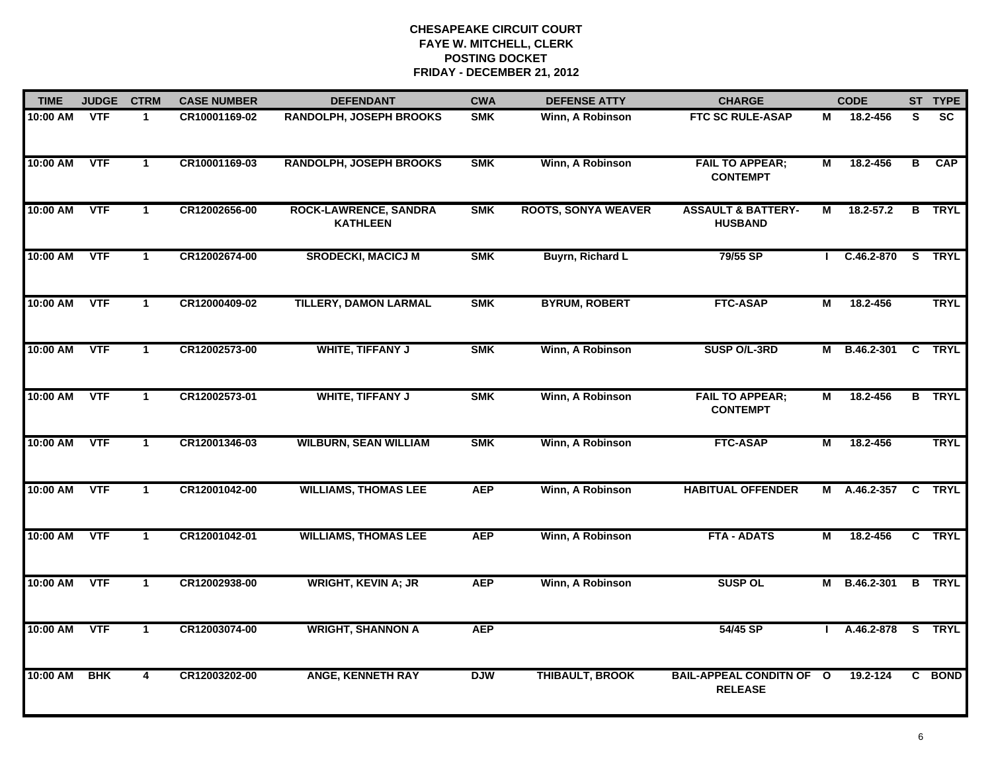| <b>TIME</b> | <b>JUDGE</b> | <b>CTRM</b>             | <b>CASE NUMBER</b> | <b>DEFENDANT</b>                                | <b>CWA</b> | <b>DEFENSE ATTY</b>        | <b>CHARGE</b>                                     |                         | <b>CODE</b>       |                | ST TYPE       |
|-------------|--------------|-------------------------|--------------------|-------------------------------------------------|------------|----------------------------|---------------------------------------------------|-------------------------|-------------------|----------------|---------------|
| 10:00 AM    | <b>VTF</b>   | $\mathbf{1}$            | CR10001169-02      | RANDOLPH, JOSEPH BROOKS                         | <b>SMK</b> | Winn, A Robinson           | <b>FTC SC RULE-ASAP</b>                           | М                       | 18.2-456          | S.             | <b>SC</b>     |
| 10:00 AM    | <b>VTF</b>   | $\mathbf{1}$            | CR10001169-03      | <b>RANDOLPH, JOSEPH BROOKS</b>                  | <b>SMK</b> | Winn, A Robinson           | <b>FAIL TO APPEAR;</b><br><b>CONTEMPT</b>         | $\overline{M}$          | 18.2-456          | $\overline{B}$ | <b>CAP</b>    |
| 10:00 AM    | <b>VTF</b>   | $\mathbf{1}$            | CR12002656-00      | <b>ROCK-LAWRENCE, SANDRA</b><br><b>KATHLEEN</b> | <b>SMK</b> | <b>ROOTS, SONYA WEAVER</b> | <b>ASSAULT &amp; BATTERY-</b><br><b>HUSBAND</b>   | М                       | $18.2 - 57.2$     | $\overline{B}$ | <b>TRYL</b>   |
| 10:00 AM    | <b>VTF</b>   | 1                       | CR12002674-00      | <b>SRODECKI, MACICJ M</b>                       | <b>SMK</b> | Buyrn, Richard L           | 79/55 SP                                          |                         | $C.46.2 - 870$    | S.             | <b>TRYL</b>   |
| 10:00 AM    | <b>VTF</b>   | $\mathbf 1$             | CR12000409-02      | TILLERY, DAMON LARMAL                           | <b>SMK</b> | <b>BYRUM, ROBERT</b>       | <b>FTC-ASAP</b>                                   | М                       | 18.2-456          |                | <b>TRYL</b>   |
| 10:00 AM    | <b>VTF</b>   | $\mathbf{1}$            | CR12002573-00      | <b>WHITE, TIFFANY J</b>                         | <b>SMK</b> | Winn, A Robinson           | SUSP O/L-3RD                                      |                         | M B.46.2-301      | C              | <b>TRYL</b>   |
| 10:00 AM    | <b>VTF</b>   | $\overline{1}$          | CR12002573-01      | <b>WHITE, TIFFANY J</b>                         | <b>SMK</b> | Winn, A Robinson           | <b>FAIL TO APPEAR;</b><br><b>CONTEMPT</b>         | $\overline{\mathsf{M}}$ | 18.2-456          | $\overline{B}$ | <b>TRYL</b>   |
| 10:00 AM    | <b>VTF</b>   | $\blacktriangleleft$    | CR12001346-03      | <b>WILBURN, SEAN WILLIAM</b>                    | <b>SMK</b> | Winn, A Robinson           | <b>FTC-ASAP</b>                                   | М                       | 18.2-456          |                | <b>TRYL</b>   |
| 10:00 AM    | <b>VTF</b>   | $\mathbf{1}$            | CR12001042-00      | <b>WILLIAMS, THOMAS LEE</b>                     | <b>AEP</b> | Winn, A Robinson           | <b>HABITUAL OFFENDER</b>                          | Μ                       | A.46.2-357        | $\mathbf{C}$   | <b>TRYL</b>   |
| 10:00 AM    | <b>VTF</b>   | $\mathbf{1}$            | CR12001042-01      | <b>WILLIAMS, THOMAS LEE</b>                     | <b>AEP</b> | Winn, A Robinson           | <b>FTA - ADATS</b>                                | М                       | 18.2-456          |                | C TRYL        |
| 10:00 AM    | <b>VTF</b>   | $\blacktriangleleft$    | CR12002938-00      | <b>WRIGHT, KEVIN A; JR</b>                      | <b>AEP</b> | Winn, A Robinson           | <b>SUSP OL</b>                                    |                         | M B.46.2-301      |                | <b>B</b> TRYL |
| 10:00 AM    | <b>VTF</b>   | $\overline{1}$          | CR12003074-00      | <b>WRIGHT, SHANNON A</b>                        | <b>AEP</b> |                            | 54/45 SP                                          |                         | A.46.2-878 S TRYL |                |               |
| 10:00 AM    | <b>BHK</b>   | $\overline{\mathbf{4}}$ | CR12003202-00      | <b>ANGE, KENNETH RAY</b>                        | <b>DJW</b> | <b>THIBAULT, BROOK</b>     | <b>BAIL-APPEAL CONDITN OF O</b><br><b>RELEASE</b> |                         | 19.2-124          |                | C BOND        |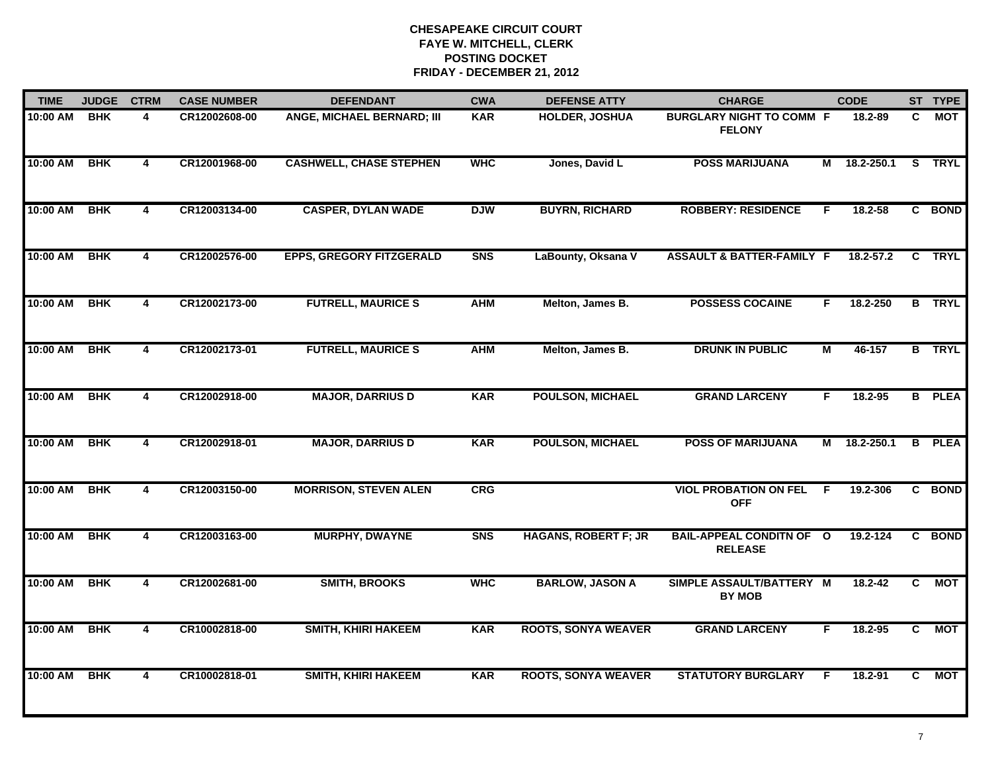| <b>TIME</b> | <b>JUDGE</b> | <b>CTRM</b>             | <b>CASE NUMBER</b> | <b>DEFENDANT</b>                | <b>CWA</b>     | <b>DEFENSE ATTY</b>         | <b>CHARGE</b>                                    |              | <b>CODE</b>   |                | ST TYPE       |
|-------------|--------------|-------------------------|--------------------|---------------------------------|----------------|-----------------------------|--------------------------------------------------|--------------|---------------|----------------|---------------|
| 10:00 AM    | <b>BHK</b>   | 4                       | CR12002608-00      | ANGE, MICHAEL BERNARD; III      | <b>KAR</b>     | <b>HOLDER, JOSHUA</b>       | <b>BURGLARY NIGHT TO COMM F</b><br><b>FELONY</b> |              | 18.2-89       | C.             | МОТ           |
| 10:00 AM    | <b>BHK</b>   | $\overline{4}$          | CR12001968-00      | <b>CASHWELL, CHASE STEPHEN</b>  | <b>WHC</b>     | Jones, David L              | <b>POSS MARIJUANA</b>                            | М            | 18.2-250.1    | s              | <b>TRYL</b>   |
| 10:00 AM    | <b>BHK</b>   | $\overline{4}$          | CR12003134-00      | <b>CASPER, DYLAN WADE</b>       | <b>DJW</b>     | <b>BUYRN, RICHARD</b>       | <b>ROBBERY: RESIDENCE</b>                        | F            | 18.2-58       |                | C BOND        |
| 10:00 AM    | <b>BHK</b>   | 4                       | CR12002576-00      | <b>EPPS, GREGORY FITZGERALD</b> | S <sub>N</sub> | LaBounty, Oksana V          | <b>ASSAULT &amp; BATTER-FAMILY F</b>             |              | $18.2 - 57.2$ | $\mathbf{c}$   | <b>TRYL</b>   |
| 10:00 AM    | <b>BHK</b>   | 4                       | CR12002173-00      | <b>FUTRELL, MAURICE S</b>       | <b>AHM</b>     | Melton, James B.            | <b>POSSESS COCAINE</b>                           | F.           | 18.2-250      |                | <b>B</b> TRYL |
| 10:00 AM    | <b>BHK</b>   | 4                       | CR12002173-01      | <b>FUTRELL, MAURICE S</b>       | <b>AHM</b>     | Melton, James B.            | <b>DRUNK IN PUBLIC</b>                           | М            | 46-157        |                | <b>B</b> TRYL |
| 10:00 AM    | <b>BHK</b>   | $\overline{\mathbf{4}}$ | CR12002918-00      | <b>MAJOR, DARRIUS D</b>         | <b>KAR</b>     | <b>POULSON, MICHAEL</b>     | <b>GRAND LARCENY</b>                             | F            | 18.2-95       |                | <b>B</b> PLEA |
| 10:00 AM    | <b>BHK</b>   | $\overline{\mathbf{4}}$ | CR12002918-01      | <b>MAJOR, DARRIUS D</b>         | <b>KAR</b>     | <b>POULSON, MICHAEL</b>     | <b>POSS OF MARIJUANA</b>                         | м            | 18.2-250.1    | $\overline{B}$ | <b>PLEA</b>   |
| 10:00 AM    | <b>BHK</b>   | $\overline{\mathbf{4}}$ | CR12003150-00      | <b>MORRISON, STEVEN ALEN</b>    | <b>CRG</b>     |                             | <b>VIOL PROBATION ON FEL</b><br><b>OFF</b>       | F            | 19.2-306      | C.             | <b>BOND</b>   |
| 10:00 AM    | <b>BHK</b>   | 4                       | CR12003163-00      | <b>MURPHY, DWAYNE</b>           | S <sub>N</sub> | <b>HAGANS, ROBERT F; JR</b> | <b>BAIL-APPEAL CONDITN OF</b><br><b>RELEASE</b>  | $\mathbf{o}$ | 19.2-124      | C.             | <b>BOND</b>   |
| 10:00 AM    | <b>BHK</b>   | 4                       | CR12002681-00      | <b>SMITH, BROOKS</b>            | <b>WHC</b>     | <b>BARLOW, JASON A</b>      | SIMPLE ASSAULT/BATTERY M<br><b>BY MOB</b>        |              | $18.2 - 42$   | C.             | <b>MOT</b>    |
| 10:00 AM    | <b>BHK</b>   | 4                       | CR10002818-00      | <b>SMITH, KHIRI HAKEEM</b>      | <b>KAR</b>     | <b>ROOTS, SONYA WEAVER</b>  | <b>GRAND LARCENY</b>                             | F            | 18.2-95       | C              | <b>MOT</b>    |
| 10:00 AM    | <b>BHK</b>   | $\overline{\mathbf{4}}$ | CR10002818-01      | <b>SMITH, KHIRI HAKEEM</b>      | <b>KAR</b>     | <b>ROOTS, SONYA WEAVER</b>  | <b>STATUTORY BURGLARY</b>                        | F            | 18.2-91       | C.             | MOT           |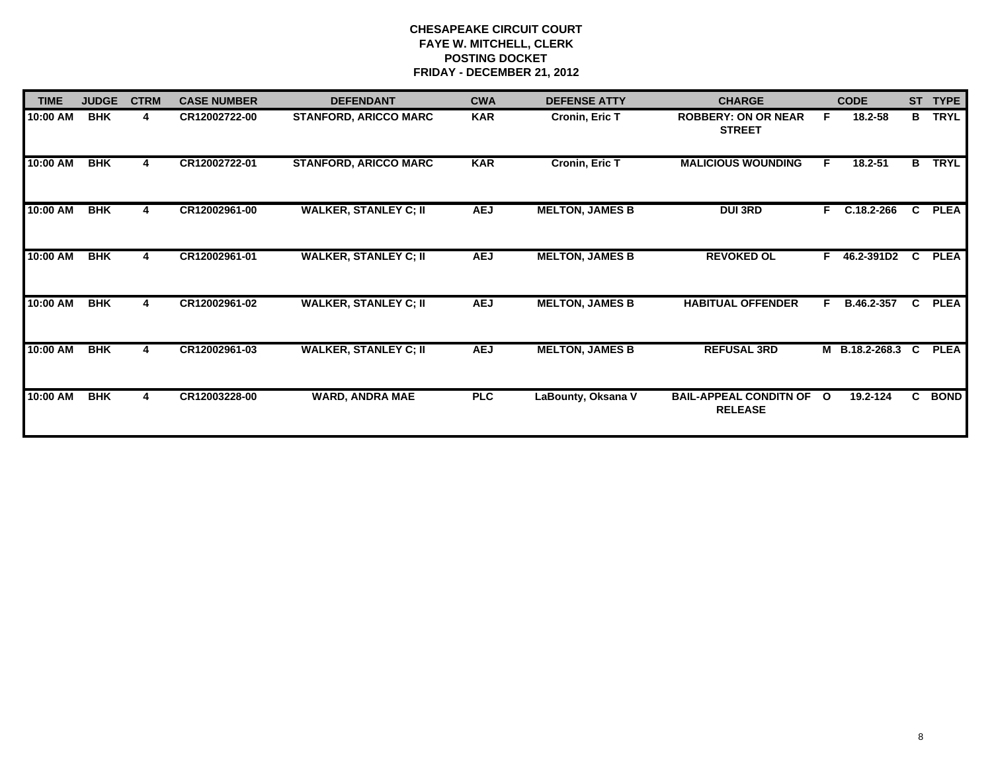| <b>TIME</b> | <b>JUDGE</b> | <b>CTRM</b> | <b>CASE NUMBER</b> | <b>DEFENDANT</b>             | <b>CWA</b> | <b>DEFENSE ATTY</b>    | <b>CHARGE</b>                                   |              | <b>CODE</b>    | <b>ST</b> | <b>TYPE</b> |
|-------------|--------------|-------------|--------------------|------------------------------|------------|------------------------|-------------------------------------------------|--------------|----------------|-----------|-------------|
| 10:00 AM    | <b>BHK</b>   | 4           | CR12002722-00      | <b>STANFORD, ARICCO MARC</b> | <b>KAR</b> | Cronin, Eric T         | <b>ROBBERY: ON OR NEAR</b><br><b>STREET</b>     | F.           | 18.2-58        | B         | <b>TRYL</b> |
| 10:00 AM    | <b>BHK</b>   |             | CR12002722-01      | <b>STANFORD, ARICCO MARC</b> | <b>KAR</b> | <b>Cronin, Eric T</b>  | <b>MALICIOUS WOUNDING</b>                       | F.           | 18.2-51        | B         | <b>TRYL</b> |
| 10:00 AM    | <b>BHK</b>   |             | CR12002961-00      | <b>WALKER, STANLEY C; II</b> | <b>AEJ</b> | <b>MELTON, JAMES B</b> | <b>DUI 3RD</b>                                  | $\mathbf{F}$ | C.18.2-266     | C         | <b>PLEA</b> |
| 10:00 AM    | <b>BHK</b>   | 4           | CR12002961-01      | <b>WALKER, STANLEY C; II</b> | <b>AEJ</b> | <b>MELTON, JAMES B</b> | <b>REVOKED OL</b>                               | F.           | 46.2-391D2     | C.        | <b>PLEA</b> |
| 10:00 AM    | <b>BHK</b>   | 4           | CR12002961-02      | <b>WALKER, STANLEY C; II</b> | <b>AEJ</b> | <b>MELTON, JAMES B</b> | <b>HABITUAL OFFENDER</b>                        | F            | B.46.2-357     | C.        | <b>PLEA</b> |
| 10:00 AM    | <b>BHK</b>   |             | CR12002961-03      | <b>WALKER, STANLEY C; II</b> | <b>AEJ</b> | <b>MELTON, JAMES B</b> | <b>REFUSAL 3RD</b>                              |              | M B.18.2-268.3 | C.        | <b>PLEA</b> |
| 10:00 AM    | <b>BHK</b>   | 4           | CR12003228-00      | <b>WARD, ANDRA MAE</b>       | <b>PLC</b> | LaBounty, Oksana V     | <b>BAIL-APPEAL CONDITN OF</b><br><b>RELEASE</b> | $\mathbf{o}$ | 19.2-124       | C.        | <b>BOND</b> |